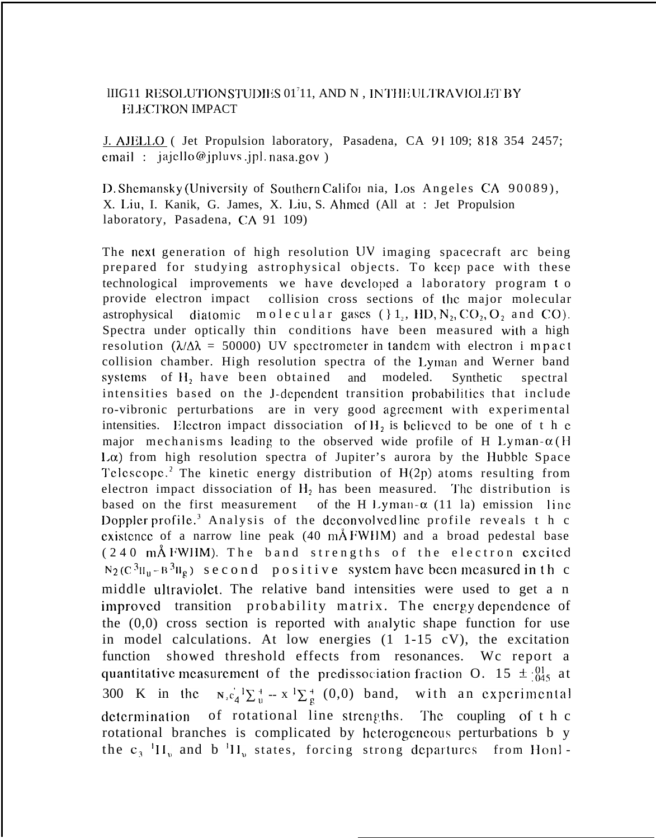## IIIG11 RESOLUTIONSTUDIES 01<sup>7</sup>11, AND N , INTHEULTRAVIOLET BY **ELECTRON IMPACT**

J. AJILL.O ( Jet Propulsion laboratory, Pasadena, CA 91 109; 818 354 2457; email :  $jajello@jplus.jpl. nasa.gov$ )

D. Shemansky (University of Southern Califor nia, Los Angeles CA 90089), X. I.iu, I. Kanik, G. James, X. l.iu, S. Ahmcd (All at : Jet Propulsion laboratory, Pasadena, CA 91 109)

The next generation of high resolution UV imaging spacecraft arc being prepared for studying astrophysical objects. To keep pace with these technological improvements we have developed a laboratory program to provide electron impact collision cross sections of the major molecular astrophysical diatomic molecular gases  $($  }  $1<sub>2</sub>$ , HD, N<sub>2</sub>, CO<sub>2</sub>, O<sub>2</sub> and CO). Spectra under optically thin conditions have been measured with a high resolution ( $\lambda/\Delta\lambda$  = 50000) UV spectrometer in tandem with electron i mpact collision chamber. High resolution spectra of the Lyman and Werner band systems of H<sub>2</sub> have been obtained and modeled. Synthetic spectral intensities based on the J-dependent transition probabilities that include ro-vibronic perturbations are in very good agrccmcnt with experimental intensities. Electron impact dissociation of  $H_2$  is believed to be one of t h c major mechanisms leading to the observed wide profile of H Lyman- $\alpha$ (H  $L\alpha$ ) from high resolution spectra of Jupiter's aurora by the Hubble Space Telescope.<sup>2</sup> The kinetic energy distribution of  $H(2p)$  atoms resulting from electron impact dissociation of  $H_2$  has been measured. The distribution is based on the first measurement of the H Lyman- $\alpha$  (11 la) emission line Doppler profile.<sup>3</sup> Analysis of the deconvolved line profile reveals t h c existence of a narrow line peak  $(40 \text{ mA}$  FWHM) and a broad pedestal base  $(240$  mÅ FWHM). The band strengths of the electron excited  $N_2$  ( $C$   $^3$ H<sub>n</sub>  $B$   $^3$ H<sub>g</sub>) second positive system have been measured in th c middle ultraviolet. The relative band intensities were used to get a n improved transition probability matrix. The energy dependence of the (0,0) cross section is reported with analytic shape function for use in model calculations. At low energies (1 1-15 cV), the excitation function showed threshold effects from resonances. Wc report a quantitative measurement of the predissociation fraction O. 15  $\pm$  : $^{01}_{045}$  at 300 K in the  $N_1 c_4^{\dagger} L_0^+ - x^{\dagger} L_2^+$  (0,0) band, with an experimental determination of rotational line strengths. The coupling of  $t \, h \, c$ rotational branches is complicated by hcterogcncous perturbations b y the  $c_3$ <sup>1</sup> $H_v$  and b<sup>1</sup> $H_v$  states, forcing strong departures from Honl -